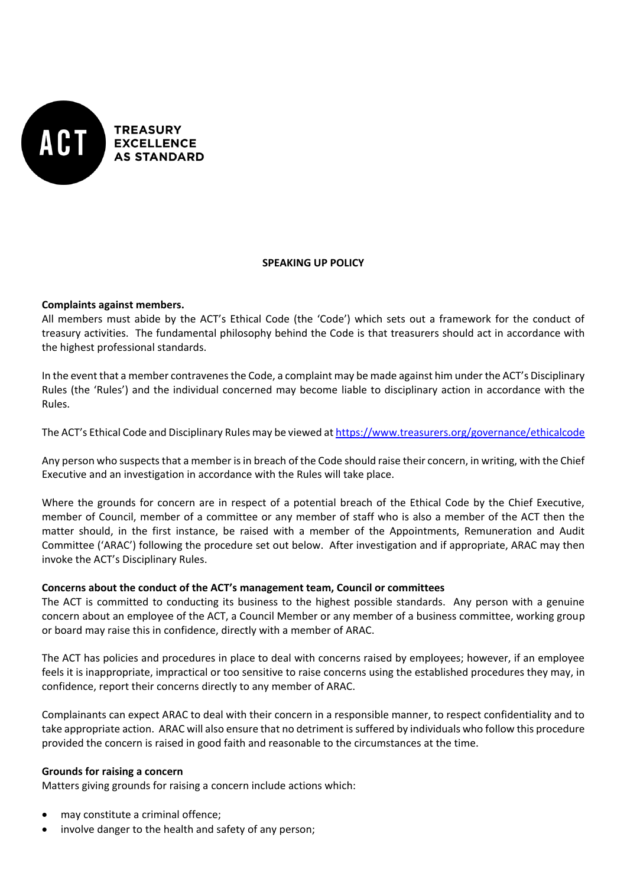

## **SPEAKING UP POLICY**

## **Complaints against members.**

All members must abide by the ACT's Ethical Code (the 'Code') which sets out a framework for the conduct of treasury activities. The fundamental philosophy behind the Code is that treasurers should act in accordance with the highest professional standards.

In the event that a member contravenes the Code, a complaint may be made against him under the ACT's Disciplinary Rules (the 'Rules') and the individual concerned may become liable to disciplinary action in accordance with the Rules.

The ACT's Ethical Code and Disciplinary Rules may be viewed at <https://www.treasurers.org/governance/ethicalcode>

Any person who suspects that a member is in breach of the Code should raise their concern, in writing, with the Chief Executive and an investigation in accordance with the Rules will take place.

Where the grounds for concern are in respect of a potential breach of the Ethical Code by the Chief Executive, member of Council, member of a committee or any member of staff who is also a member of the ACT then the matter should, in the first instance, be raised with a member of the Appointments, Remuneration and Audit Committee ('ARAC') following the procedure set out below. After investigation and if appropriate, ARAC may then invoke the ACT's Disciplinary Rules.

## **Concerns about the conduct of the ACT's management team, Council or committees**

The ACT is committed to conducting its business to the highest possible standards. Any person with a genuine concern about an employee of the ACT, a Council Member or any member of a business committee, working group or board may raise this in confidence, directly with a member of ARAC.

The ACT has policies and procedures in place to deal with concerns raised by employees; however, if an employee feels it is inappropriate, impractical or too sensitive to raise concerns using the established procedures they may, in confidence, report their concerns directly to any member of ARAC.

Complainants can expect ARAC to deal with their concern in a responsible manner, to respect confidentiality and to take appropriate action. ARAC will also ensure that no detriment is suffered by individuals who follow this procedure provided the concern is raised in good faith and reasonable to the circumstances at the time.

#### **Grounds for raising a concern**

Matters giving grounds for raising a concern include actions which:

- may constitute a criminal offence;
- involve danger to the health and safety of any person;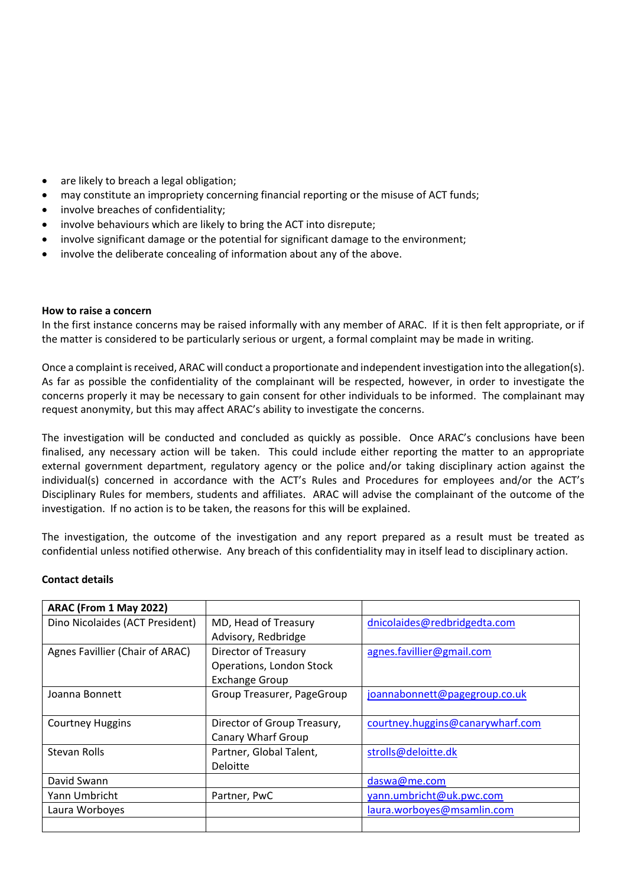- are likely to breach a legal obligation;
- may constitute an impropriety concerning financial reporting or the misuse of ACT funds;
- involve breaches of confidentiality;
- involve behaviours which are likely to bring the ACT into disrepute;
- involve significant damage or the potential for significant damage to the environment;
- involve the deliberate concealing of information about any of the above.

### **How to raise a concern**

In the first instance concerns may be raised informally with any member of ARAC. If it is then felt appropriate, or if the matter is considered to be particularly serious or urgent, a formal complaint may be made in writing.

Once a complaint is received, ARAC will conduct a proportionate and independent investigation into the allegation(s). As far as possible the confidentiality of the complainant will be respected, however, in order to investigate the concerns properly it may be necessary to gain consent for other individuals to be informed. The complainant may request anonymity, but this may affect ARAC's ability to investigate the concerns.

The investigation will be conducted and concluded as quickly as possible. Once ARAC's conclusions have been finalised, any necessary action will be taken. This could include either reporting the matter to an appropriate external government department, regulatory agency or the police and/or taking disciplinary action against the individual(s) concerned in accordance with the ACT's Rules and Procedures for employees and/or the ACT's Disciplinary Rules for members, students and affiliates. ARAC will advise the complainant of the outcome of the investigation. If no action is to be taken, the reasons for this will be explained.

The investigation, the outcome of the investigation and any report prepared as a result must be treated as confidential unless notified otherwise. Any breach of this confidentiality may in itself lead to disciplinary action.

# **Contact details**

| ARAC (From 1 May 2022)          |                             |                                  |
|---------------------------------|-----------------------------|----------------------------------|
| Dino Nicolaides (ACT President) | MD, Head of Treasury        | dnicolaides@redbridgedta.com     |
|                                 | Advisory, Redbridge         |                                  |
| Agnes Favillier (Chair of ARAC) | <b>Director of Treasury</b> | agnes.favillier@gmail.com        |
|                                 | Operations, London Stock    |                                  |
|                                 | <b>Exchange Group</b>       |                                  |
| Joanna Bonnett                  | Group Treasurer, PageGroup  | joannabonnett@pagegroup.co.uk    |
|                                 |                             |                                  |
| <b>Courtney Huggins</b>         | Director of Group Treasury, | courtney.huggins@canarywharf.com |
|                                 | <b>Canary Wharf Group</b>   |                                  |
| Stevan Rolls                    | Partner, Global Talent,     | strolls@deloitte.dk              |
|                                 | Deloitte                    |                                  |
| David Swann                     |                             | daswa@me.com                     |
| Yann Umbricht                   | Partner, PwC                | yann.umbricht@uk.pwc.com         |
| Laura Worboyes                  |                             | laura.worboyes@msamlin.com       |
|                                 |                             |                                  |